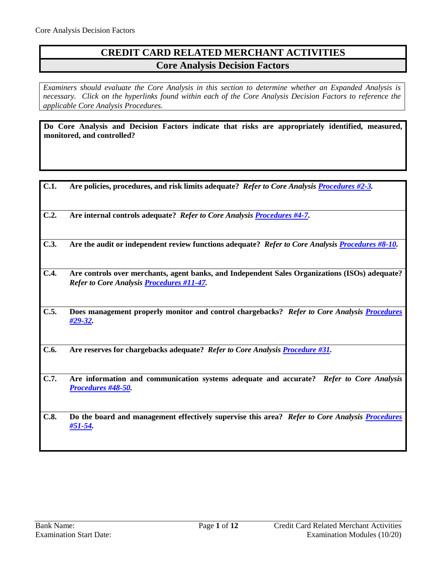## **CREDIT CARD RELATED MERCHANT ACTIVITIES Core Analysis Decision Factors**

*Examiners should evaluate the Core Analysis in this section to determine whether an Expanded Analysis is necessary. Click on the hyperlinks found within each of the Core Analysis Decision Factors to reference the applicable Core Analysis Procedures.*

**Do Core Analysis and Decision Factors indicate that risks are appropriately identified, measured, monitored, and controlled?**

| C.1. | Are policies, procedures, and risk limits adequate? Refer to Core Analysis Procedures #2-3.                                                        |
|------|----------------------------------------------------------------------------------------------------------------------------------------------------|
| C.2. | Are internal controls adequate? Refer to Core Analysis Procedures #4-7.                                                                            |
| C.3. | Are the audit or independent review functions adequate? Refer to Core Analysis Procedures #8-10.                                                   |
| C.4. | Are controls over merchants, agent banks, and Independent Sales Organizations (ISOs) adequate?<br>Refer to Core Analysis <b>Procedures #11-47.</b> |
| C.5. | Does management properly monitor and control chargebacks? Refer to Core Analysis Procedures<br>#29-32.                                             |
| C.6. | Are reserves for chargebacks adequate? Refer to Core Analysis Procedure #31.                                                                       |
| C.7. | Are information and communication systems adequate and accurate? Refer to Core Analysis<br>Procedures #48-50.                                      |
| C.8. | Do the board and management effectively supervise this area? Refer to Core Analysis Procedures<br>#51-54.                                          |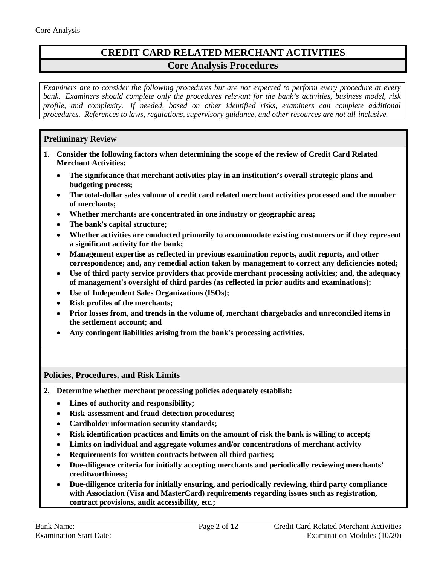# **CREDIT CARD RELATED MERCHANT ACTIVITIES Core Analysis Procedures**

*Examiners are to consider the following procedures but are not expected to perform every procedure at every bank. Examiners should complete only the procedures relevant for the bank's activities, business model, risk profile, and complexity. If needed, based on other identified risks, examiners can complete additional procedures. References to laws, regulations, supervisory guidance, and other resources are not all-inclusive.*

## **Preliminary Review**

- **1. Consider the following factors when determining the scope of the review of Credit Card Related Merchant Activities:**
	- **The significance that merchant activities play in an institution's overall strategic plans and budgeting process;**
	- **The total-dollar sales volume of credit card related merchant activities processed and the number of merchants;**
	- **Whether merchants are concentrated in one industry or geographic area;**
	- **The bank's capital structure;**
	- **Whether activities are conducted primarily to accommodate existing customers or if they represent a significant activity for the bank;**
	- **Management expertise as reflected in previous examination reports, audit reports, and other correspondence; and, any remedial action taken by management to correct any deficiencies noted;**
	- **Use of third party service providers that provide merchant processing activities; and, the adequacy of management's oversight of third parties (as reflected in prior audits and examinations);**
	- **Use of Independent Sales Organizations (ISOs);**
	- **Risk profiles of the merchants;**
	- **Prior losses from, and trends in the volume of, merchant chargebacks and unreconciled items in the settlement account; and**
	- **Any contingent liabilities arising from the bank's processing activities.**

### <span id="page-1-0"></span>**Policies, Procedures, and Risk Limits**

- **2. Determine whether merchant processing policies adequately establish:** 
	- **Lines of authority and responsibility;**
	- **Risk-assessment and fraud-detection procedures;**
	- **Cardholder information security standards;**
	- **Risk identification practices and limits on the amount of risk the bank is willing to accept;**
	- **Limits on individual and aggregate volumes and/or concentrations of merchant activity**
	- **Requirements for written contracts between all third parties;**
	- **Due-diligence criteria for initially accepting merchants and periodically reviewing merchants' creditworthiness;**
	- **Due-diligence criteria for initially ensuring, and periodically reviewing, third party compliance with Association (Visa and MasterCard) requirements regarding issues such as registration, contract provisions, audit accessibility, etc.;**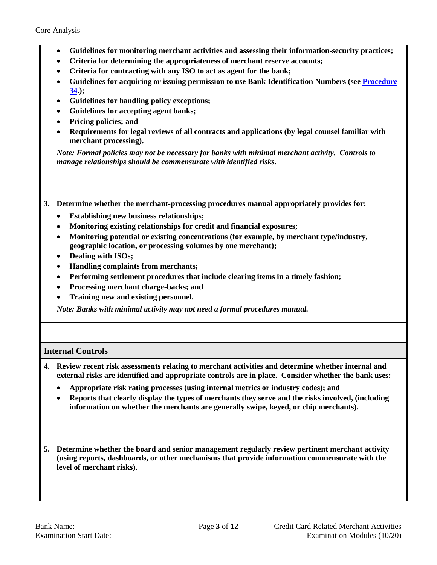- **Guidelines for monitoring merchant activities and assessing their information-security practices;**
- **Criteria for determining the appropriateness of merchant reserve accounts;**
- **Criteria for contracting with any ISO to act as agent for the bank;**
- **Guidelines for acquiring or issuing permission to use Bank Identification Numbers (see [Procedure](#page-8-0) [34.](#page-8-0));**
- **Guidelines for handling policy exceptions;**
- **Guidelines for accepting agent banks;**
- **Pricing policies; and**
- **Requirements for legal reviews of all contracts and applications (by legal counsel familiar with merchant processing).**

*Note: Formal policies may not be necessary for banks with minimal merchant activity. Controls to manage relationships should be commensurate with identified risks.* 

**3. Determine whether the merchant-processing procedures manual appropriately provides for:** 

- **Establishing new business relationships;**
- **Monitoring existing relationships for credit and financial exposures;**
- **Monitoring potential or existing concentrations (for example, by merchant type/industry, geographic location, or processing volumes by one merchant);**
- **Dealing with ISOs;**
- **Handling complaints from merchants;**
- **Performing settlement procedures that include clearing items in a timely fashion;**
- **Processing merchant charge-backs; and**
- **Training new and existing personnel.**

*Note: Banks with minimal activity may not need a formal procedures manual.*

### <span id="page-2-0"></span>**Internal Controls**

- **4. Review recent risk assessments relating to merchant activities and determine whether internal and external risks are identified and appropriate controls are in place. Consider whether the bank uses:**
	- **Appropriate risk rating processes (using internal metrics or industry codes); and**
	- **Reports that clearly display the types of merchants they serve and the risks involved, (including information on whether the merchants are generally swipe, keyed, or chip merchants).**

**5. Determine whether the board and senior management regularly review pertinent merchant activity (using reports, dashboards, or other mechanisms that provide information commensurate with the level of merchant risks).**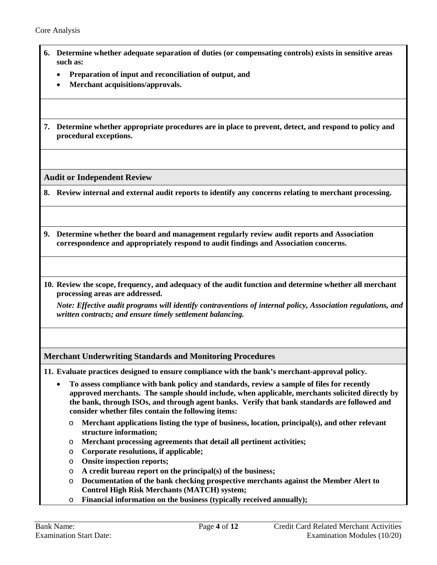- **6. Determine whether adequate separation of duties (or compensating controls) exists in sensitive areas such as:**
	- **Preparation of input and reconciliation of output, and**
	- **Merchant acquisitions/approvals.**
- **7. Determine whether appropriate procedures are in place to prevent, detect, and respond to policy and procedural exceptions.**

<span id="page-3-0"></span>**Audit or Independent Review**

**8. Review internal and external audit reports to identify any concerns relating to merchant processing.** 

- **9. Determine whether the board and management regularly review audit reports and Association correspondence and appropriately respond to audit findings and Association concerns.**
- **10. Review the scope, frequency, and adequacy of the audit function and determine whether all merchant processing areas are addressed.**

*Note: Effective audit programs will identify contraventions of internal policy, Association regulations, and written contracts; and ensure timely settlement balancing.* 

### <span id="page-3-1"></span>**Merchant Underwriting Standards and Monitoring Procedures**

**11. Evaluate practices designed to ensure compliance with the bank's merchant-approval policy.** 

- **To assess compliance with bank policy and standards, review a sample of files for recently approved merchants. The sample should include, when applicable, merchants solicited directly by the bank, through ISOs, and through agent banks. Verify that bank standards are followed and consider whether files contain the following items:**
	- o **Merchant applications listing the type of business, location, principal(s), and other relevant structure information;**
	- o **Merchant processing agreements that detail all pertinent activities;**
	- o **Corporate resolutions, if applicable;**
	- o **Onsite inspection reports;**
	- o **A credit bureau report on the principal(s) of the business;**
	- o **Documentation of the bank checking prospective merchants against the Member Alert to Control High Risk Merchants (MATCH) system;**
	- o **Financial information on the business (typically received annually);**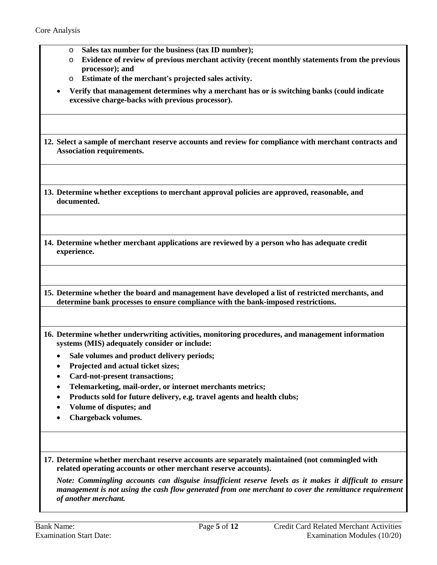- o **Sales tax number for the business (tax ID number);**
- o **Evidence of review of previous merchant activity (recent monthly statements from the previous processor); and**
- o **Estimate of the merchant's projected sales activity.**
- **Verify that management determines why a merchant has or is switching banks (could indicate excessive charge-backs with previous processor).**
- **12. Select a sample of merchant reserve accounts and review for compliance with merchant contracts and Association requirements.**
- **13. Determine whether exceptions to merchant approval policies are approved, reasonable, and documented.**
- **14. Determine whether merchant applications are reviewed by a person who has adequate credit experience.**

**15. Determine whether the board and management have developed a list of restricted merchants, and determine bank processes to ensure compliance with the bank-imposed restrictions.** 

- **16. Determine whether underwriting activities, monitoring procedures, and management information systems (MIS) adequately consider or include:** 
	- **Sale volumes and product delivery periods;**
	- **Projected and actual ticket sizes;**
	- **Card-not-present transactions;**
	- **Telemarketing, mail-order, or internet merchants metrics;**
	- **Products sold for future delivery, e.g. travel agents and health clubs;**
	- **Volume of disputes; and**
	- **Chargeback volumes.**
- **17. Determine whether merchant reserve accounts are separately maintained (not commingled with related operating accounts or other merchant reserve accounts).**

*Note: Commingling accounts can disguise insufficient reserve levels as it makes it difficult to ensure management is not using the cash flow generated from one merchant to cover the remittance requirement of another merchant.*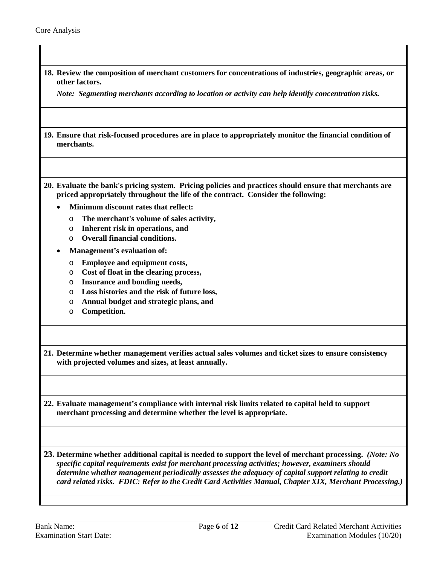| 18. Review the composition of merchant customers for concentrations of industries, geographic areas, or<br>other factors.                                                                                         |
|-------------------------------------------------------------------------------------------------------------------------------------------------------------------------------------------------------------------|
| Note: Segmenting merchants according to location or activity can help identify concentration risks.                                                                                                               |
| 19. Ensure that risk-focused procedures are in place to appropriately monitor the financial condition of                                                                                                          |
| merchants.                                                                                                                                                                                                        |
| 20. Evaluate the bank's pricing system. Pricing policies and practices should ensure that merchants are<br>priced appropriately throughout the life of the contract. Consider the following:                      |
| Minimum discount rates that reflect:                                                                                                                                                                              |
| The merchant's volume of sales activity,<br>$\circ$<br>Inherent risk in operations, and<br>$\circ$                                                                                                                |
| <b>Overall financial conditions.</b><br>$\circ$                                                                                                                                                                   |
| Management's evaluation of:                                                                                                                                                                                       |
| <b>Employee and equipment costs,</b><br>O                                                                                                                                                                         |
| Cost of float in the clearing process,<br>O                                                                                                                                                                       |
| Insurance and bonding needs,<br>O<br>Loss histories and the risk of future loss,<br>O                                                                                                                             |
| Annual budget and strategic plans, and<br>O                                                                                                                                                                       |
| Competition.<br>O                                                                                                                                                                                                 |
| 21. Determine whether management verifies actual sales volumes and ticket sizes to ensure consistency                                                                                                             |
| with projected volumes and sizes, at least annually.                                                                                                                                                              |
| 22. Evaluate management's compliance with internal risk limits related to capital held to support<br>merchant processing and determine whether the level is appropriate.                                          |
| 23. Determine whether additional capital is needed to support the level of merchant processing. (Note: No<br>specific capital requirements exist for merchant processing activities; however, examiners should    |
| determine whether management periodically assesses the adequacy of capital support relating to credit<br>card related risks. FDIC: Refer to the Credit Card Activities Manual, Chapter XIX, Merchant Processing.) |
|                                                                                                                                                                                                                   |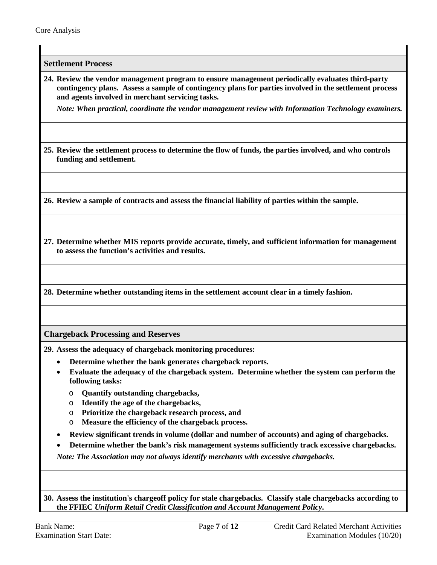**Settlement Process**

**24. Review the vendor management program to ensure management periodically evaluates third-party contingency plans. Assess a sample of contingency plans for parties involved in the settlement process and agents involved in merchant servicing tasks.** 

*Note: When practical, coordinate the vendor management review with Information Technology examiners.*

**25. Review the settlement process to determine the flow of funds, the parties involved, and who controls funding and settlement.**

**26. Review a sample of contracts and assess the financial liability of parties within the sample.** 

**27. Determine whether MIS reports provide accurate, timely, and sufficient information for management to assess the function's activities and results.**

**28. Determine whether outstanding items in the settlement account clear in a timely fashion.**

<span id="page-6-0"></span>**Chargeback Processing and Reserves**

**29. Assess the adequacy of chargeback monitoring procedures:**

- **Determine whether the bank generates chargeback reports.**
- **Evaluate the adequacy of the chargeback system. Determine whether the system can perform the following tasks:**
	- o **Quantify outstanding chargebacks,**
	- o **Identify the age of the chargebacks,**
	- o **Prioritize the chargeback research process, and**
	- o **Measure the efficiency of the chargeback process.**
- **Review significant trends in volume (dollar and number of accounts) and aging of chargebacks.**
- **Determine whether the bank's risk management systems sufficiently track excessive chargebacks.**

*Note: The Association may not always identify merchants with excessive chargebacks.* 

**30. Assess the institution's chargeoff policy for stale chargebacks. Classify stale chargebacks according to the FFIEC** *Uniform Retail Credit Classification and Account Management Policy***.**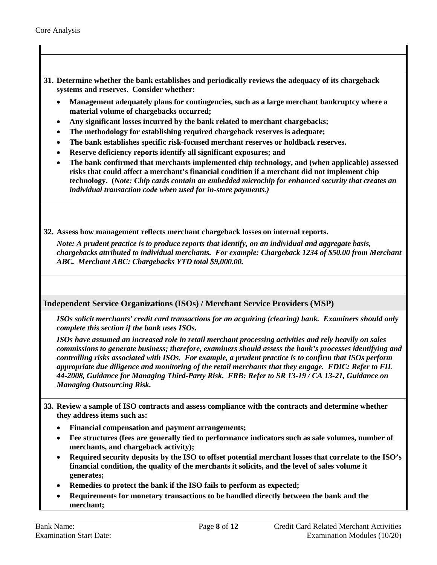- <span id="page-7-0"></span>**31. Determine whether the bank establishes and periodically reviews the adequacy of its chargeback systems and reserves. Consider whether:**
	- **Management adequately plans for contingencies, such as a large merchant bankruptcy where a material volume of chargebacks occurred;**
	- **Any significant losses incurred by the bank related to merchant chargebacks;**
	- **The methodology for establishing required chargeback reserves is adequate;**
	- **The bank establishes specific risk-focused merchant reserves or holdback reserves.**
	- **Reserve deficiency reports identify all significant exposures; and**
	- **The bank confirmed that merchants implemented chip technology, and (when applicable) assessed risks that could affect a merchant's financial condition if a merchant did not implement chip technology. (***Note: Chip cards contain an embedded microchip for enhanced security that creates an individual transaction code when used for in-store payments.)*
- **32. Assess how management reflects merchant chargeback losses on internal reports.**

*Note: A prudent practice is to produce reports that identify, on an individual and aggregate basis, chargebacks attributed to individual merchants. For example: Chargeback 1234 of \$50.00 from Merchant ABC. Merchant ABC: Chargebacks YTD total \$9,000.00.* 

**Independent Service Organizations (ISOs) / Merchant Service Providers (MSP)**

*ISOs solicit merchants' credit card transactions for an acquiring (clearing) bank. Examiners should only complete this section if the bank uses ISOs.* 

*ISOs have assumed an increased role in retail merchant processing activities and rely heavily on sales commissions to generate business; therefore, examiners should assess the bank's processes identifying and controlling risks associated with ISOs. For example, a prudent practice is to confirm that ISOs perform appropriate due diligence and monitoring of the retail merchants that they engage. FDIC: Refer to FIL 44-2008, Guidance for Managing Third-Party Risk. FRB: Refer to SR 13-19 / CA 13-21, Guidance on Managing Outsourcing Risk.* 

- **33. Review a sample of ISO contracts and assess compliance with the contracts and determine whether they address items such as:** 
	- **Financial compensation and payment arrangements;**
	- **Fee structures (fees are generally tied to performance indicators such as sale volumes, number of merchants, and chargeback activity);**
	- **Required security deposits by the ISO to offset potential merchant losses that correlate to the ISO's financial condition, the quality of the merchants it solicits, and the level of sales volume it generates;**
	- **Remedies to protect the bank if the ISO fails to perform as expected;**
	- **Requirements for monetary transactions to be handled directly between the bank and the merchant;**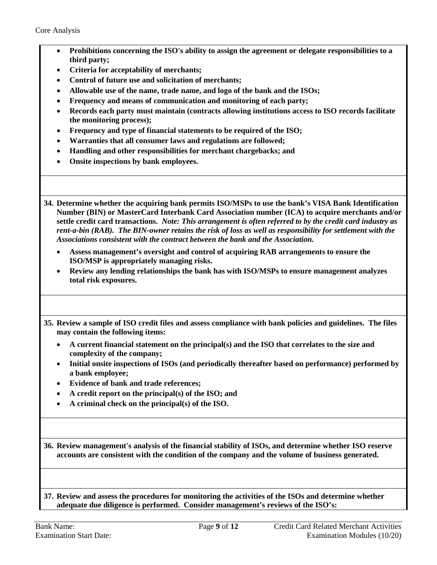- **Prohibitions concerning the ISO's ability to assign the agreement or delegate responsibilities to a third party;**
- **Criteria for acceptability of merchants;**
- **Control of future use and solicitation of merchants;**
- **Allowable use of the name, trade name, and logo of the bank and the ISOs;**
- **Frequency and means of communication and monitoring of each party;**
- **Records each party must maintain (contracts allowing institutions access to ISO records facilitate the monitoring process);**
- **Frequency and type of financial statements to be required of the ISO;**
- **Warranties that all consumer laws and regulations are followed;**
- **Handling and other responsibilities for merchant chargebacks; and**
- **Onsite inspections by bank employees.**

<span id="page-8-0"></span>**34. Determine whether the acquiring bank permits ISO/MSPs to use the bank's VISA Bank Identification Number (BIN) or MasterCard Interbank Card Association number (ICA) to acquire merchants and/or settle credit card transactions.** *Note: This arrangement is often referred to by the credit card industry as rent-a-bin (RAB). The BIN-owner retains the risk of loss as well as responsibility for settlement with the Associations consistent with the contract between the bank and the Association.* 

- **Assess management's oversight and control of acquiring RAB arrangements to ensure the ISO/MSP is appropriately managing risks.**
- **Review any lending relationships the bank has with ISO/MSPs to ensure management analyzes total risk exposures.**

**35. Review a sample of ISO credit files and assess compliance with bank policies and guidelines. The files may contain the following items:**

- **A current financial statement on the principal(s) and the ISO that correlates to the size and complexity of the company;**
- **Initial onsite inspections of ISOs (and periodically thereafter based on performance) performed by a bank employee;**
- **Evidence of bank and trade references;**
- **A credit report on the principal(s) of the ISO; and**
- **A criminal check on the principal(s) of the ISO.**

**36. Review management's analysis of the financial stability of ISOs, and determine whether ISO reserve accounts are consistent with the condition of the company and the volume of business generated.**

**37. Review and assess the procedures for monitoring the activities of the ISOs and determine whether adequate due diligence is performed. Consider management's reviews of the ISO's:**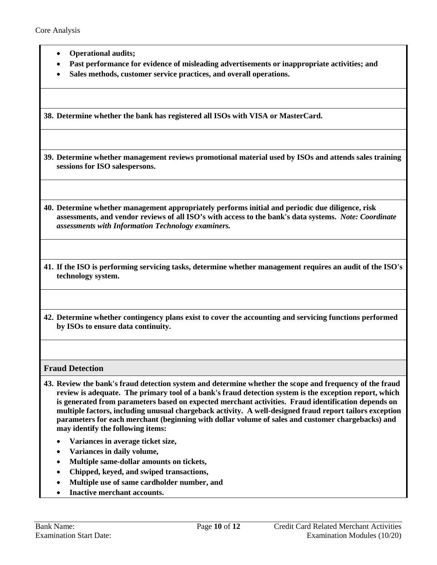- **Operational audits;**
- **Past performance for evidence of misleading advertisements or inappropriate activities; and**
- **Sales methods, customer service practices, and overall operations.**

**38. Determine whether the bank has registered all ISOs with VISA or MasterCard.**

**39. Determine whether management reviews promotional material used by ISOs and attends sales training sessions for ISO salespersons.**

**40. Determine whether management appropriately performs initial and periodic due diligence, risk assessments, and vendor reviews of all ISO's with access to the bank's data systems.** *Note: Coordinate assessments with Information Technology examiners.*

- **41. If the ISO is performing servicing tasks, determine whether management requires an audit of the ISO's technology system.**
- **42. Determine whether contingency plans exist to cover the accounting and servicing functions performed by ISOs to ensure data continuity.**

**Fraud Detection**

- **43. Review the bank's fraud detection system and determine whether the scope and frequency of the fraud review is adequate. The primary tool of a bank's fraud detection system is the exception report, which is generated from parameters based on expected merchant activities. Fraud identification depends on multiple factors, including unusual chargeback activity. A well-designed fraud report tailors exception parameters for each merchant (beginning with dollar volume of sales and customer chargebacks) and may identify the following items:**
	- **Variances in average ticket size,**
	- **Variances in daily volume,**
	- **Multiple same-dollar amounts on tickets,**
	- **Chipped, keyed, and swiped transactions,**
	- **Multiple use of same cardholder number, and**
	- **Inactive merchant accounts.**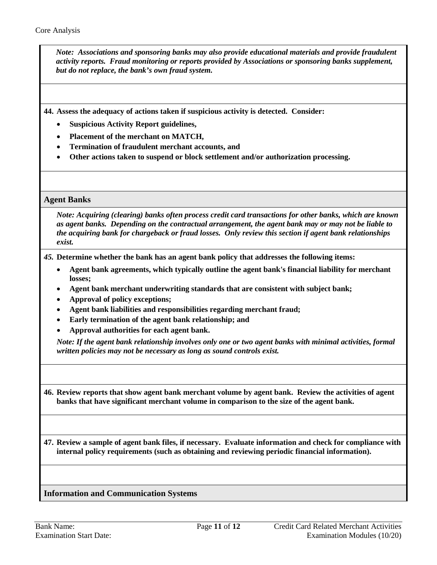*Note: Associations and sponsoring banks may also provide educational materials and provide fraudulent activity reports. Fraud monitoring or reports provided by Associations or sponsoring banks supplement, but do not replace, the bank's own fraud system.* 

**44. Assess the adequacy of actions taken if suspicious activity is detected. Consider:**

- **Suspicious Activity Report guidelines,**
- **Placement of the merchant on MATCH,**
- **Termination of fraudulent merchant accounts, and**
- **Other actions taken to suspend or block settlement and/or authorization processing.**

#### **Agent Banks**

*Note: Acquiring (clearing) banks often process credit card transactions for other banks, which are known as agent banks. Depending on the contractual arrangement, the agent bank may or may not be liable to the acquiring bank for chargeback or fraud losses. Only review this section if agent bank relationships exist.*

*45.* **Determine whether the bank has an agent bank policy that addresses the following items:** 

- **Agent bank agreements, which typically outline the agent bank's financial liability for merchant losses;**
- **Agent bank merchant underwriting standards that are consistent with subject bank;**
- **Approval of policy exceptions;**
- **Agent bank liabilities and responsibilities regarding merchant fraud;**
- **Early termination of the agent bank relationship; and**
- **Approval authorities for each agent bank.**

*Note: If the agent bank relationship involves only one or two agent banks with minimal activities, formal written policies may not be necessary as long as sound controls exist.*

**46. Review reports that show agent bank merchant volume by agent bank. Review the activities of agent banks that have significant merchant volume in comparison to the size of the agent bank.** 

**47. Review a sample of agent bank files, if necessary. Evaluate information and check for compliance with internal policy requirements (such as obtaining and reviewing periodic financial information).**

#### <span id="page-10-0"></span>**Information and Communication Systems**